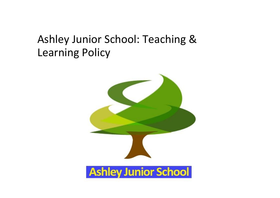# Ashley Junior School: Teaching & Learning Policy

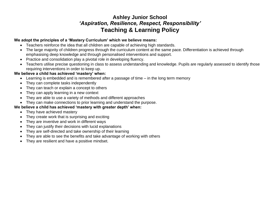# **Ashley Junior School** *'Aspiration, Resilience, Respect, Responsibility'* **Teaching & Learning Policy**

#### **We adopt the principles of a 'Mastery Curriculum' which we believe means:**

- Teachers reinforce the idea that all children are capable of achieving high standards.
- The large majority of children progress through the curriculum content at the same pace. Differentiation is achieved through emphasising deep knowledge and through personalised interventions and support.
- Practice and consolidation play a pivotal role in developing fluency.
- Teachers utilise precise questioning in class to assess understanding and knowledge. Pupils are regularly assessed to identify those requiring interventions in order to keep up.

## **We believe a child has achieved 'mastery' when:**

- Learning is embedded and is remembered after a passage of time in the long term memory
- They can complete tasks independently
- They can teach or explain a concept to others
- They can apply learning in a new context
- They are able to use a variety of methods and different approaches
- They can make connections to prior learning and understand the purpose.

### **We believe a child has achieved 'mastery with greater depth' when:**

- They have achieved mastery
- They create work that is surprising and exciting
- They are inventive and work in different ways
- They can justify their decisions with lucid explanations
- They are self-directed and take ownership of their learning
- They are able to see the benefits and take advantage of working with others
- They are resilient and have a positive mindset.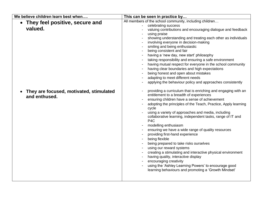| We believe children learn best when                      | This can be seen in practice by                                                                                                                                                                                                                                                                                                                                                                                                                                                                                                                                                                                                                                                                                                                                                                                                       |
|----------------------------------------------------------|---------------------------------------------------------------------------------------------------------------------------------------------------------------------------------------------------------------------------------------------------------------------------------------------------------------------------------------------------------------------------------------------------------------------------------------------------------------------------------------------------------------------------------------------------------------------------------------------------------------------------------------------------------------------------------------------------------------------------------------------------------------------------------------------------------------------------------------|
| • They feel positive, secure and<br>valued.              | All members of the school community, including children<br>celebrating success<br>valuing contributions and encouraging dialogue and feedback<br>using praise<br>showing understanding and treating each other as individuals<br>involving everyone in decision-making<br>smiling and being enthusiastic<br>being consistent and fair<br>having a 'new day, new start' philosophy<br>taking responsibility and ensuring a safe environment<br>having mutual respect for everyone in the school community<br>having clear boundaries and high expectations<br>being honest and open about mistakes<br>adapting to meet different needs<br>applying the behaviour policy and approaches consistently                                                                                                                                    |
| They are focused, motivated, stimulated<br>and enthused. | providing a curriculum that is enriching and engaging with an<br>entitlement to a breadth of experiences<br>ensuring children have a sense of achievement<br>adopting the principles of the Teach, Practice, Apply learning<br>cycle<br>using a variety of approaches and media, including<br>collaborative learning, independent tasks, range of IT and<br>P <sub>4</sub> C<br>modelling enthusiasm<br>ensuring we have a wide range of quality resources<br>providing first-hand experience<br>being flexible<br>being prepared to take risks ourselves<br>using our reward systems<br>creating a stimulating and interactive physical environment<br>having quality, interactive display<br>encouraging creativity<br>using the 'Ashley Learning Powers' to encourage good<br>learning behaviours and promoting a 'Growth Mindset' |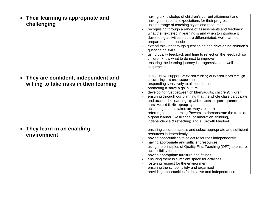| Their learning is appropriate and<br>challenging                               | having a knowledge of children's current attainment and<br>having aspirational expectations for their progress<br>using a range of teaching styles and resources<br>recognising through a range of assessments and feedback<br>what the next step in learning is and when to introduce it<br>developing activities that are differentiated, well planned,<br>prepared and accessible<br>extend thinking through questioning and developing children's<br>questioning skills<br>using quality feedback and time to reflect on the feedback so<br>children know what to do next to improve<br>ensuring the learning journey is progressive and well<br>sequenced |
|--------------------------------------------------------------------------------|----------------------------------------------------------------------------------------------------------------------------------------------------------------------------------------------------------------------------------------------------------------------------------------------------------------------------------------------------------------------------------------------------------------------------------------------------------------------------------------------------------------------------------------------------------------------------------------------------------------------------------------------------------------|
| They are confident, independent and<br>willing to take risks in their learning | constructive support ie: extend thinking or expand ideas through<br>questioning and encouragement<br>responding sensitively to all contributions<br>promoting a 'have a go' culture<br>developing trust between children/adults, children/children<br>ensuring through our planning that the whole class participate<br>and access the learning eg: whiteboards, response partners,<br>sensitive and flexible grouping<br>accepting that mistakes are ways to learn<br>referring to the 'Learning Powers' to demonstrate the traits of<br>a good learner (Resilience, collaboration, thinking,<br>independence & reflecting) and a 'Growth Mindset'            |
| They learn in an enabling<br>environment                                       | ensuring children access and select appropriate and sufficient<br>resources independently<br>having opportunities to select resources independently<br>having appropriate and sufficient resources<br>using the principles of Quality First Teaching (QFT) to ensure<br>accessibility for all<br>having appropriate furniture and fittings<br>ensuring there is sufficient space for activities<br>fostering respect for the environment<br>ensuring the school is tidy and organised<br>providing opportunities for initiative and independence                                                                                                               |